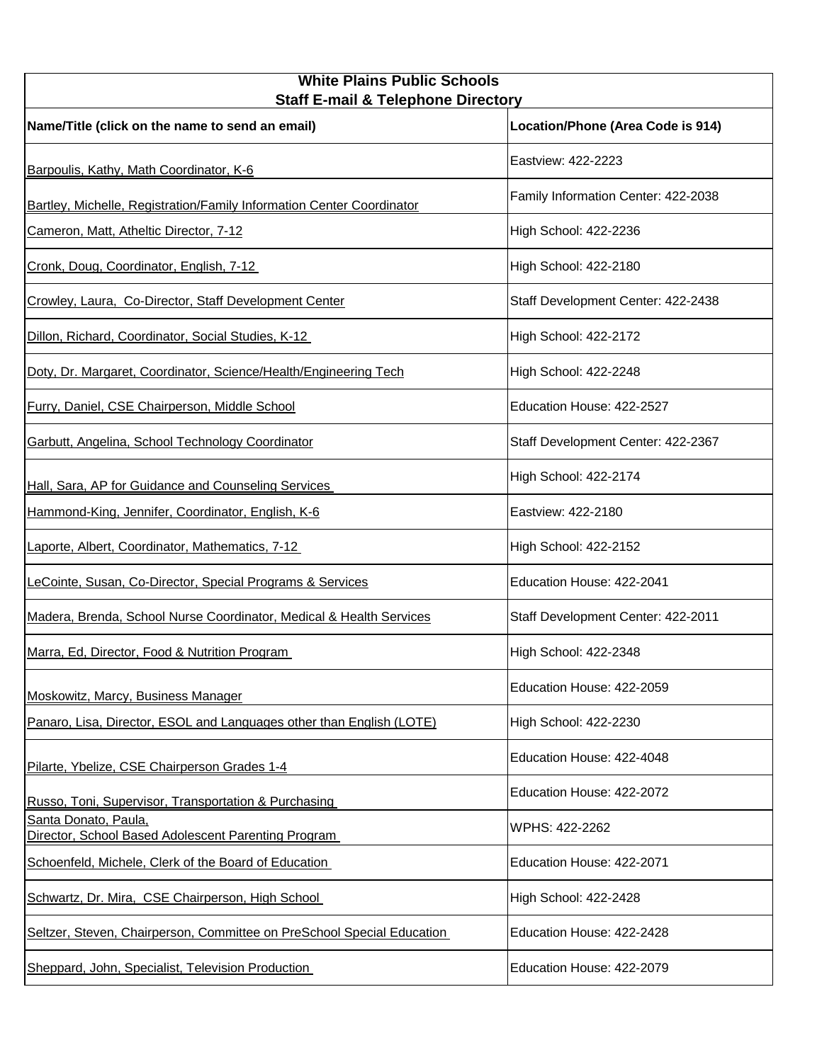| <b>White Plains Public Schools</b><br><b>Staff E-mail &amp; Telephone Directory</b> |                                     |
|-------------------------------------------------------------------------------------|-------------------------------------|
| Name/Title (click on the name to send an email)                                     | Location/Phone (Area Code is 914)   |
| Barpoulis, Kathy, Math Coordinator, K-6                                             | Eastview: 422-2223                  |
| Bartley, Michelle, Registration/Family Information Center Coordinator               | Family Information Center: 422-2038 |
| Cameron, Matt, Atheltic Director, 7-12                                              | High School: 422-2236               |
| Cronk, Doug, Coordinator, English, 7-12                                             | High School: 422-2180               |
| Crowley, Laura, Co-Director, Staff Development Center                               | Staff Development Center: 422-2438  |
| Dillon, Richard, Coordinator, Social Studies, K-12                                  | High School: 422-2172               |
| Doty, Dr. Margaret, Coordinator, Science/Health/Engineering Tech                    | High School: 422-2248               |
| Furry, Daniel, CSE Chairperson, Middle School                                       | Education House: 422-2527           |
| Garbutt, Angelina, School Technology Coordinator                                    | Staff Development Center: 422-2367  |
| Hall, Sara, AP for Guidance and Counseling Services                                 | High School: 422-2174               |
| Hammond-King, Jennifer, Coordinator, English, K-6                                   | Eastview: 422-2180                  |
| Laporte, Albert, Coordinator, Mathematics, 7-12                                     | High School: 422-2152               |
| LeCointe, Susan, Co-Director, Special Programs & Services                           | Education House: 422-2041           |
| Madera, Brenda, School Nurse Coordinator, Medical & Health Services                 | Staff Development Center: 422-2011  |
| Marra, Ed, Director, Food & Nutrition Program                                       | High School: 422-2348               |
| Moskowitz, Marcy, Business Manager                                                  | Education House: 422-2059           |
| Panaro, Lisa, Director, ESOL and Languages other than English (LOTE)                | High School: 422-2230               |
| Pilarte, Ybelize, CSE Chairperson Grades 1-4                                        | Education House: 422-4048           |
| Russo, Toni, Supervisor, Transportation & Purchasing                                | Education House: 422-2072           |
| Santa Donato, Paula,<br>Director, School Based Adolescent Parenting Program         | WPHS: 422-2262                      |
| Schoenfeld, Michele, Clerk of the Board of Education                                | Education House: 422-2071           |
| Schwartz, Dr. Mira, CSE Chairperson, High School                                    | High School: 422-2428               |
| Seltzer, Steven, Chairperson, Committee on PreSchool Special Education              | Education House: 422-2428           |
| Sheppard, John, Specialist, Television Production                                   | Education House: 422-2079           |